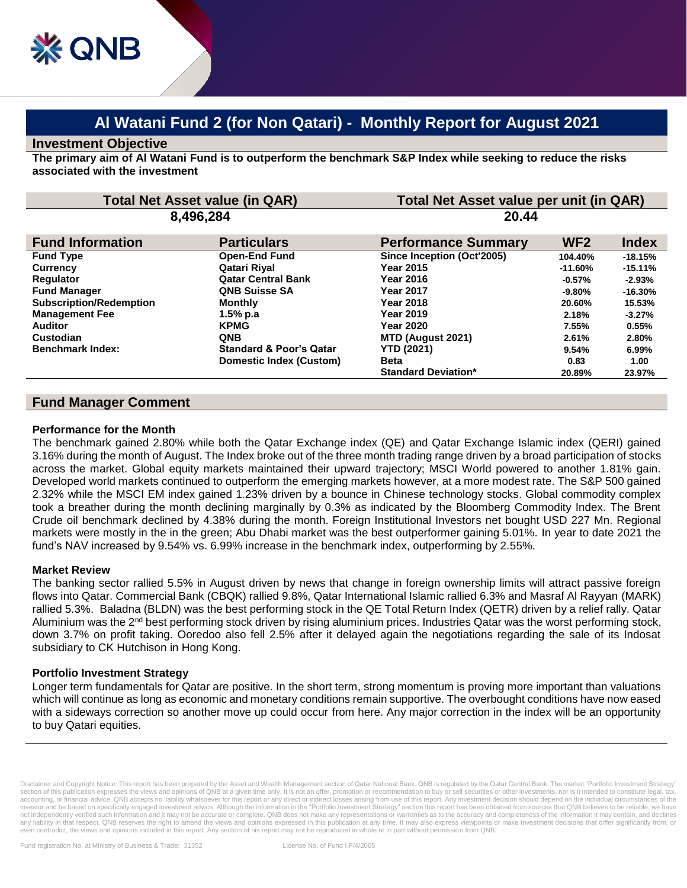# **Al Watani Fund 2 (for Non Qatari) - Monthly Report for August 2021**

## **Investment Objective**

**The primary aim of Al Watani Fund is to outperform the benchmark S&P Index while seeking to reduce the risks associated with the investment**

| <b>Total Net Asset value (in QAR)</b> |                                    | Total Net Asset value per unit (in QAR) |                 |              |
|---------------------------------------|------------------------------------|-----------------------------------------|-----------------|--------------|
| 8,496,284                             |                                    | 20.44                                   |                 |              |
| <b>Fund Information</b>               | <b>Particulars</b>                 | <b>Performance Summary</b>              | WF <sub>2</sub> | <b>Index</b> |
| <b>Fund Type</b>                      | <b>Open-End Fund</b>               | Since Inception (Oct'2005)              | 104.40%         | $-18.15%$    |
| <b>Currency</b>                       | Qatari Riyal                       | Year 2015                               | $-11.60%$       | $-15.11%$    |
| <b>Regulator</b>                      | <b>Qatar Central Bank</b>          | <b>Year 2016</b>                        | $-0.57\%$       | $-2.93%$     |
| <b>Fund Manager</b>                   | <b>QNB Suisse SA</b>               | Year 2017                               | $-9.80\%$       | $-16.30%$    |
| <b>Subscription/Redemption</b>        | Monthly                            | Year 2018                               | 20.60%          | 15.53%       |
| <b>Management Fee</b>                 | 1.5% p.a                           | Year 2019                               | 2.18%           | $-3.27%$     |
| <b>Auditor</b>                        | <b>KPMG</b>                        | <b>Year 2020</b>                        | 7.55%           | 0.55%        |
| Custodian                             | <b>ONB</b>                         | MTD (August 2021)                       | 2.61%           | 2.80%        |
| <b>Benchmark Index:</b>               | <b>Standard &amp; Poor's Qatar</b> | <b>YTD (2021)</b>                       | 9.54%           | 6.99%        |
|                                       | Domestic Index (Custom)            | <b>Beta</b>                             | 0.83            | 1.00         |
|                                       |                                    | <b>Standard Deviation*</b>              | 20.89%          | 23.97%       |
|                                       |                                    |                                         |                 |              |

# **Fund Manager Comment**

#### **Performance for the Month**

The benchmark gained 2.80% while both the Qatar Exchange index (QE) and Qatar Exchange Islamic index (QERI) gained 3.16% during the month of August. The Index broke out of the three month trading range driven by a broad participation of stocks across the market. Global equity markets maintained their upward trajectory; MSCI World powered to another 1.81% gain. Developed world markets continued to outperform the emerging markets however, at a more modest rate. The S&P 500 gained 2.32% while the MSCI EM index gained 1.23% driven by a bounce in Chinese technology stocks. Global commodity complex took a breather during the month declining marginally by 0.3% as indicated by the Bloomberg Commodity Index. The Brent Crude oil benchmark declined by 4.38% during the month. Foreign Institutional Investors net bought USD 227 Mn. Regional markets were mostly in the in the green; Abu Dhabi market was the best outperformer gaining 5.01%. In year to date 2021 the fund's NAV increased by 9.54% vs. 6.99% increase in the benchmark index, outperforming by 2.55%.

#### **Market Review**

The banking sector rallied 5.5% in August driven by news that change in foreign ownership limits will attract passive foreign flows into Qatar. Commercial Bank (CBQK) rallied 9.8%, Qatar International Islamic rallied 6.3% and Masraf Al Rayyan (MARK) rallied 5.3%. Baladna (BLDN) was the best performing stock in the QE Total Return Index (QETR) driven by a relief rally. Qatar Aluminium was the 2<sup>nd</sup> best performing stock driven by rising aluminium prices. Industries Qatar was the worst performing stock, down 3.7% on profit taking. Ooredoo also fell 2.5% after it delayed again the negotiations regarding the sale of its Indosat subsidiary to CK Hutchison in Hong Kong.

### **Portfolio Investment Strategy**

Longer term fundamentals for Qatar are positive. In the short term, strong momentum is proving more important than valuations which will continue as long as economic and monetary conditions remain supportive. The overbought conditions have now eased with a sideways correction so another move up could occur from here. Any major correction in the index will be an opportunity to buy Qatari equities.

Disclaimer and Copyright Notice: This report has been prepared by the Asset and Wealth Management section of Qatar National Bank. QNB is regulated by the Qatar Central Bank. The market "Portfolio Investment Strategy" section of this publication expresses the views and opinions of QNB at a given time only. It is not an offer, promotion or recommendation to buy or sell securities or other investments, nor is it intended to constitute leg accounting, or financial advice. QNB accepts no liability whatsoever for this report or any direct or indirect losses arising from use of this report. Any investment decision should depend on the individual circumstances o investor and be based on specifically engaged investment advice. Although the information in the "Portfolio Investment Strategy" section this report has been obtained from sources that QNB believes to be reliable, we have not independently verified such information and it may not be accurate or complete. QNB does not make any representations or warranties as to the accuracy and completeness of the information it may contain, and declines<br>an even contradict, the views and opinions included in this report. Any section of his report may not be reproduced in whole or in part without permission from QNB.